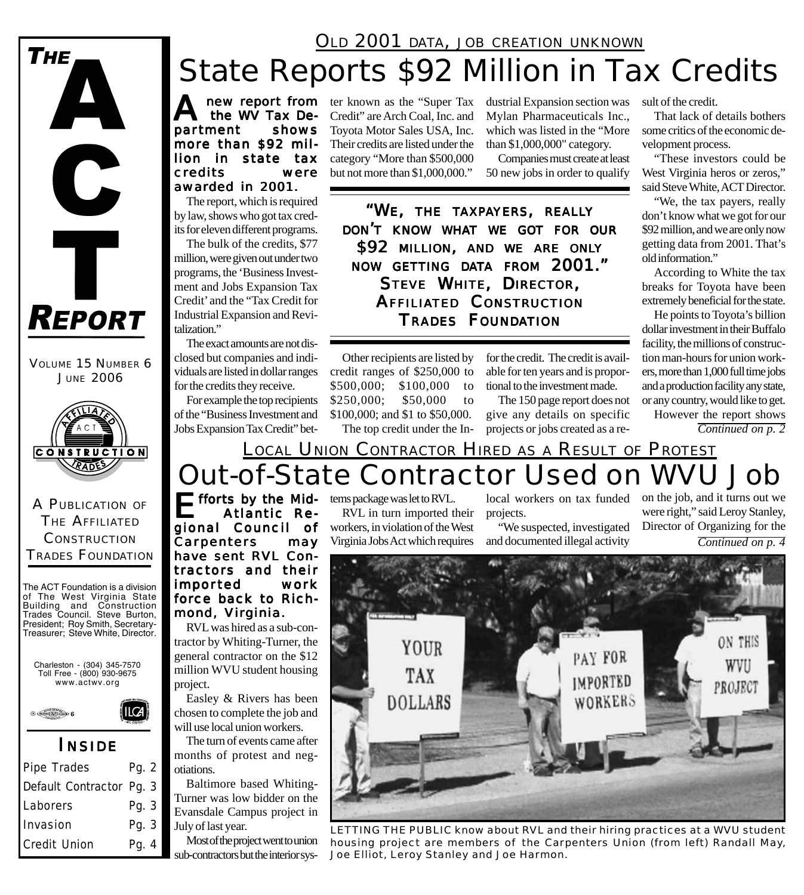### OLD 2001 DATA, JOB CREATION UNKNOWN

# State Reports \$92 Million in Tax Credits

A new report from ter known as the "Super Tax<br>the WV Tax De- Credit" are Arch Coal, Inc. and the WV Tax Depar tment shows more than \$92 million in state tax credits were awarded in 2001.

The report, which is required by law, shows who got tax credits for eleven different programs.

The bulk of the credits, \$77 million, were given out under two programs, the 'Business Investment and Jobs Expansion Tax Credit' and the "Tax Credit for Industrial Expansion and Revitalization."

The exact amounts are not disclosed but companies and individuals are listed in dollar ranges for the credits they receive.

For example the top recipients of the "Business Investment and Jobs Expansion Tax Credit" bet-

A PUBLICATION OF THE AFFILIATED **CONSTRUCTION** TRADES FOUNDATION

VOLUME 15 NUMBER 6 JUNE 2006

**CONSTRUCTION** RADES

**REPORT** 

 $\mathbf C$ 

Ť

**THE** 

The ACT Foundation is a division of The West Virginia State Building and Construction Trades Council. Steve Burton, President; Roy Smith, Secretary-Treasurer; Steve White, Director.

Charleston - (304) 345-7570 Toll Free - (800) 930-9675 www.actwv.org

**ILCA** 

 $\theta \in \mathbb{R}$  6

### *I NSIDE*

| Pipe Trades              | Pg. $2 \mid$ |
|--------------------------|--------------|
| Default Contractor Pg. 3 |              |
| Laborers                 | Pg. 3        |
| Invasion                 | Pg. 3        |
| Credit Union             | Pg. 4        |

Credit" are Arch Coal, Inc. and Toyota Motor Sales USA, Inc. Their credits are listed under the category "More than \$500,000 but not more than \$1,000,000."

dustrial Expansion section was Mylan Pharmaceuticals Inc., which was listed in the "More than \$1,000,000" category.

Companies must create at least 50 new jobs in order to qualify

*"WE, THE TAXPAYERS, REALLY DON'T KNOW WHAT WE GOT FOR OUR \$92 MILLION, AND WE ARE ONLY NOW GETTING DATA FROM 2001." STEVE WHITE, DIRECTOR, AFFILIATED CONSTRUCTION TRADES FOUNDATION*

Other recipients are listed by credit ranges of \$250,000 to \$500,000; \$100,000 to \$250,000; \$50,000 to \$100,000; and \$1 to \$50,000. The top credit under the Infor the credit. The credit is available for ten years and is proportional to the investment made.

The 150 page report does not give any details on specific projects or jobs created as a result of the credit.

That lack of details bothers some critics of the economic development process.

"These investors could be West Virginia heros or zeros," said Steve White, ACT Director.

"We, the tax payers, really don't know what we got for our \$92 million, and we are only now getting data from 2001. That's old information."

According to White the tax breaks for Toyota have been extremely beneficial for the state.

He points to Toyota's billion dollar investment in their Buffalo facility, the millions of construction man-hours for union workers, more than 1,000 full time jobs and a production facility any state, or any country, would like to get.

However the report shows *Continued on p. 2*

## Out-of-State Contractor Used on WVU Job LOCAL UNION CONTRACTOR HIRED AS A RESULT OF PROTEST

 $\blacksquare$  fforts by the Mid-Atlantic Regional Council of Carpenters may have sent RVL Contractors and their impor ted work force back to Rich-

mond, Virginia. RVL was hired as a sub-contractor by Whiting-Turner, the general contractor on the \$12 million WVU student housing project.

Easley & Rivers has been chosen to complete the job and will use local union workers.

The turn of events came after months of protest and negotiations.

Baltimore based Whiting-Turner was low bidder on the Evansdale Campus project in July of last year.

Most of the project went to union sub-contractors but the interior systems package was let to RVL. RVL in turn imported their

workers, in violation of the West Virginia Jobs Act which requires

local workers on tax funded projects.

"We suspected, investigated and documented illegal activity

*Continued on p. 4* on the job, and it turns out we were right," said Leroy Stanley, Director of Organizing for the



*LETTING THE PUBLIC know about RVL and their hiring practices at a WVU student housing project are members of the Carpenters Union (from left) Randall May, Joe Elliot, Leroy Stanley and Joe Harmon.*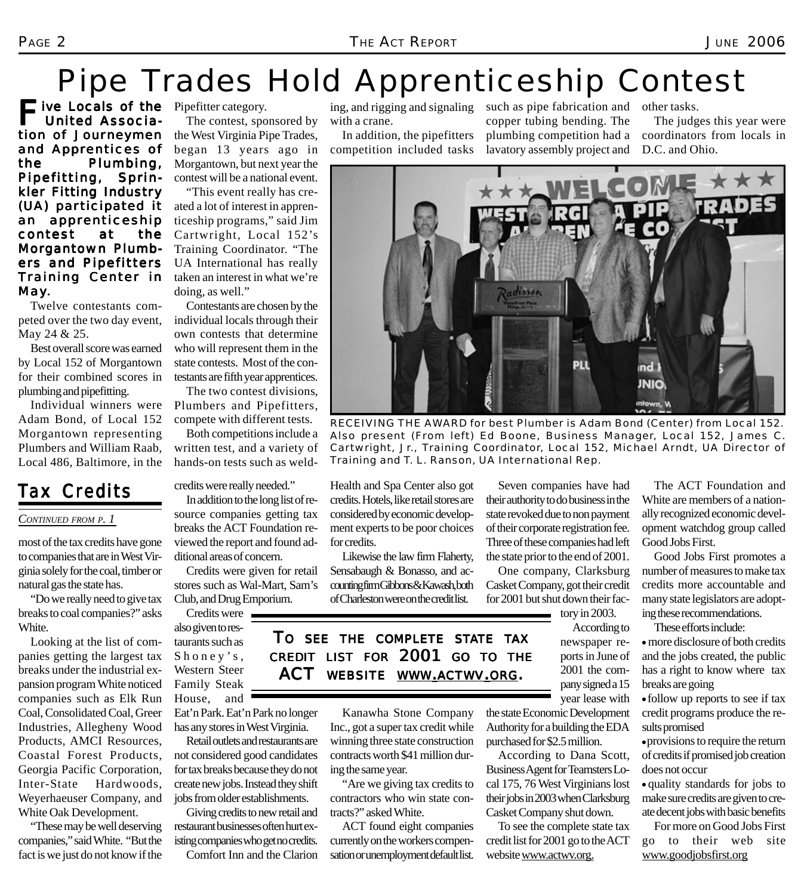# Pipe Trades Hold Apprenticeship Contest

Five Locals of the Pipefitter category.<br>
United Associa- The contest, spc United Association of Journeymen and Apprentices of the Plumbing, Pipefitting, Sprinkler Fitting Industry (UA) participated it an apprenticeship contest at the Morgantown Plumbers and Pipefitters Training Center in May.

Twelve contestants competed over the two day event, May 24 & 25.

Best overall score was earned by Local 152 of Morgantown for their combined scores in plumbing and pipefitting.

Individual winners were Adam Bond, of Local 152 Morgantown representing Plumbers and William Raab, Local 486, Baltimore, in the

## *Tax Credits*

#### *CONTINUED FROM P. 1*

most of the tax credits have gone to companies that are in West Virginia solely for the coal, timber or natural gas the state has.

"Do we really need to give tax breaks to coal companies?" asks White.

Looking at the list of companies getting the largest tax breaks under the industrial expansion program White noticed companies such as Elk Run Coal, Consolidated Coal, Greer Industries, Allegheny Wood Products, AMCI Resources, Coastal Forest Products, Georgia Pacific Corporation, Inter-State Hardwoods, Weyerhaeuser Company, and White Oak Development.

"These may be well deserving companies," said White. "But the fact is we just do not know if the

The contest, sponsored by the West Virginia Pipe Trades, began 13 years ago in Morgantown, but next year the contest will be a national event.

"This event really has created a lot of interest in apprenticeship programs," said Jim Cartwright, Local 152's Training Coordinator. "The UA International has really taken an interest in what we're doing, as well."

Contestants are chosen by the individual locals through their own contests that determine who will represent them in the state contests. Most of the contestants are fifth year apprentices.

The two contest divisions, Plumbers and Pipefitters, compete with different tests.

Both competitions include a written test, and a variety of hands-on tests such as weld-

credits were really needed."

In addition to the long list of resource companies getting tax breaks the ACT Foundation reviewed the report and found additional areas of concern.

Credits were given for retail stores such as Wal-Mart, Sam's Club, and Drug Emporium.

Credits were also given to restaurants such as Shoney's, Western Steer Family Steak House, and Eat'n Park. Eat'n Park no longer

has any stores in West Virginia. Retail outlets and restaurants are not considered good candidates for tax breaks because they do not create new jobs. Instead they shift jobs from older establishments.

Giving credits to new retail and restaurant businesses often hurt existing companies who get no credits. Comfort Inn and the Clarion

ing, and rigging and signaling with a crane.

In addition, the pipefitters competition included tasks

such as pipe fabrication and copper tubing bending. The plumbing competition had a lavatory assembly project and

other tasks. The judges this year were coordinators from locals in D.C. and Ohio.



*RECEIVING THE AWARD for best Plumber is Adam Bond (Center) from Local 152. Also present (From left) Ed Boone, Business Manager, Local 152, James C. Cartwright, Jr., Training Coordinator, Local 152, Michael Arndt, UA Director of Training and T. L. Ranson, UA International Rep.*

Seven companies have had

Health and Spa Center also got credits. Hotels, like retail stores are considered by economic development experts to be poor choices for credits.

Likewise the law firm Flaherty, Sensabaugh & Bonasso, and accounting firm Gibbons & Kawash, both of Charleston were on the credit list.

their authority to do business in the state revoked due to non payment of their corporate registration fee. Three of these companies had left the state prior to the end of 2001.

One company, Clarksburg Casket Company, got their credit for 2001 but shut down their factory in 2003.

> According to newspaper reports in June of 2001 the company signed a 15 year lease with

the state Economic Development Authority for a building the EDA purchased for \$2.5 million.

According to Dana Scott, Business Agent for Teamsters Local 175, 76 West Virginians lost their jobs in 2003 when Clarksburg Casket Company shut down.

To see the complete state tax credit list for 2001 go to the ACT website www.actwv.org.

The ACT Foundation and White are members of a nationally recognized economic development watchdog group called Good Jobs First.

Good Jobs First promotes a number of measures to make tax credits more accountable and many state legislators are adopting these recommendations.

These efforts include:

 $\bullet$  more disclosure of both credits and the jobs created, the public has a right to know where tax breaks are going

• follow up reports to see if tax credit programs produce the results promised

 $\bullet$  provisions to require the return of credits if promised job creation does not occur

• quality standards for jobs to make sure credits are given to create decent jobs with basic benefits

For more on Good Jobs First go to their web site www.goodjobsfirst.org

*TO SEE THE COMPLETE STATE TAX CREDIT LIST FOR 2001 GO TO THE ACT WEBSITE WWW.ACTWV.ORG.*

> Kanawha Stone Company Inc., got a super tax credit while winning three state construction contracts worth \$41 million dur-

ing the same year. "Are we giving tax credits to contractors who win state contracts?" asked White.

ACT found eight companies currently on the workers compensation or unemployment default list.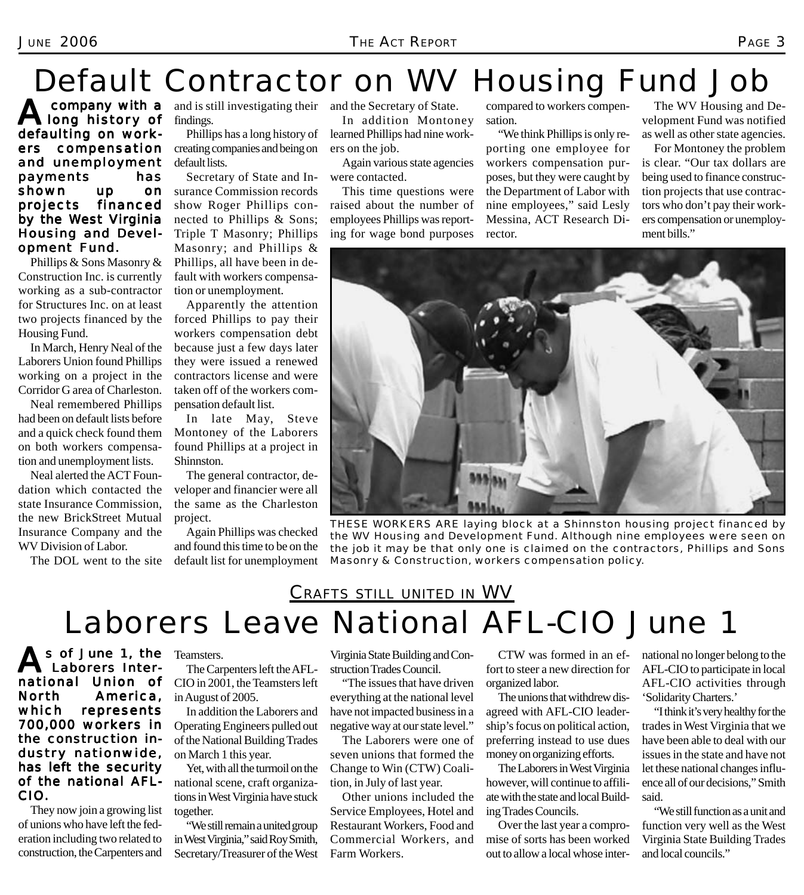# Default Contractor on WV Housing Fund Job

**A** company with a<br>defective assessed defaulting on workers compensation and unemployment payments has shown up on<br>projects financed projects by the West Virginia Housing and Development Fund.

Phillips & Sons Masonry & Construction Inc. is currently working as a sub-contractor for Structures Inc. on at least two projects financed by the Housing Fund.

In March, Henry Neal of the Laborers Union found Phillips working on a project in the Corridor G area of Charleston.

Neal remembered Phillips had been on default lists before and a quick check found them on both workers compensation and unemployment lists.

Neal alerted the ACT Foundation which contacted the state Insurance Commission, the new BrickStreet Mutual Insurance Company and the WV Division of Labor.

The DOL went to the site

and is still investigating their findings.

Phillips has a long history of creating companies and being on default lists.

Secretary of State and Insurance Commission records show Roger Phillips connected to Phillips & Sons; Triple T Masonry; Phillips Masonry; and Phillips & Phillips, all have been in default with workers compensation or unemployment.

Apparently the attention forced Phillips to pay their workers compensation debt because just a few days later they were issued a renewed contractors license and were taken off of the workers compensation default list.

In late May, Steve Montoney of the Laborers found Phillips at a project in Shinnston.

The general contractor, developer and financier were all the same as the Charleston project.

Again Phillips was checked and found this time to be on the default list for unemployment and the Secretary of State.

In addition Montoney learned Phillips had nine workers on the job.

Again various state agencies were contacted.

This time questions were raised about the number of employees Phillips was reporting for wage bond purposes

compared to workers compensation.

"We think Phillips is only reporting one employee for workers compensation purposes, but they were caught by the Department of Labor with nine employees," said Lesly Messina, ACT Research Director.

The WV Housing and Development Fund was notified as well as other state agencies.

For Montoney the problem is clear. "Our tax dollars are being used to finance construction projects that use contractors who don't pay their workers compensation or unemployment bills."



*THESE WORKERS ARE laying block at a Shinnston housing project financed by the WV Housing and Development Fund. Although nine employees were seen on the job it may be that only one is claimed on the contractors, Phillips and Sons Masonry & Construction, workers compensation policy.*

## CRAFTS STILL UNITED IN WV Laborers Leave National AFL-CIO June 1

As of June 1, the Teamsters.<br>
Laborers Inter-<br>
The Car Laborers International Union of North America, which represents 700,000 workers in the construction industry nationwide, has left the security of the national AFL-CIO.

They now join a growing list of unions who have left the federation including two related to construction, the Carpenters and

The Carpenters left the AFL-CIO in 2001, the Teamsters left in August of 2005.

In addition the Laborers and Operating Engineers pulled out of the National Building Trades on March 1 this year.

Yet, with all the turmoil on the national scene, craft organizations in West Virginia have stuck together.

"We still remain a united group in West Virginia," said Roy Smith, Secretary/Treasurer of the West Virginia State Building and Construction Trades Council.

"The issues that have driven everything at the national level have not impacted business in a negative way at our state level."

The Laborers were one of seven unions that formed the Change to Win (CTW) Coalition, in July of last year.

Other unions included the Service Employees, Hotel and Restaurant Workers, Food and Commercial Workers, and Farm Workers.

CTW was formed in an effort to steer a new direction for organized labor.

The unions that withdrew disagreed with AFL-CIO leadership's focus on political action, preferring instead to use dues money on organizing efforts.

The Laborers in West Virginia however, will continue to affiliate with the state and local Building Trades Councils.

Over the last year a compromise of sorts has been worked out to allow a local whose international no longer belong to the AFL-CIO to participate in local AFL-CIO activities through 'Solidarity Charters.'

"I think it's very healthy for the trades in West Virginia that we have been able to deal with our issues in the state and have not let these national changes influence all of our decisions," Smith said.

"We still function as a unit and function very well as the West Virginia State Building Trades and local councils."